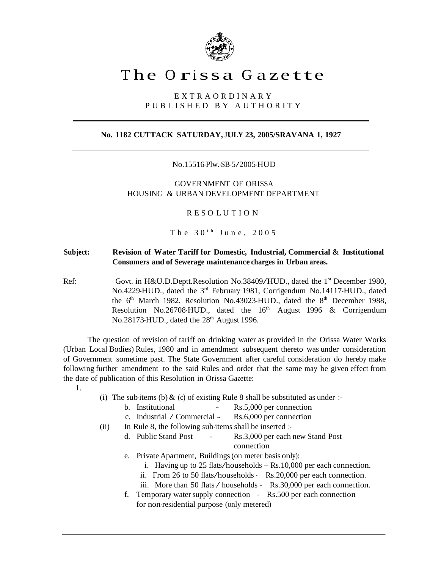

## The Orissa Gazette

E X T R A O R D I N A R Y P U B L I S H E D B Y A U T H O R I T Y

## **No. 1182 CUTTACK SATURDAY, JULY 23, 2005/SRAVANA 1, 1927**

No.15516-Plw.-SB-5/2005-HUD

GOVERNMENT OF ORISSA HOUSING & URBAN DEVELOPMENT DEPARTMENT

R E S O L U T I O N

The  $30<sup>th</sup>$  June,  $2005$ 

## **Subject: Revision of Water Tariff for Domestic, Industrial, Commercial & Institutional Consumers and of Sewerage maintenance charges in Urban areas.**

Ref: Govt. in H&U.D.Deptt.Resolution No.38409/HUD., dated the 1<sup>st</sup> December 1980, No.4229-HUD., dated the 3<sup>rd</sup> February 1981, Corrigendum No.14117-HUD., dated the  $6<sup>th</sup>$  March 1982, Resolution No.43023-HUD., dated the  $8<sup>th</sup>$  December 1988, Resolution No.26708-HUD., dated the  $16<sup>th</sup>$  August 1996 & Corrigendum No.28173-HUD., dated the  $28<sup>th</sup>$  August 1996.

The question of revision of tariff on drinking water as provided in the Orissa Water Works (Urban Local Bodies) Rules, 1980 and in amendment subsequent thereto was under consideration of Government sometime past. The State Government after careful consideration do hereby make following further amendment to the said Rules and order that the same may be given effect from the date of publication of this Resolution in Orissa Gazette:

- 1.
- (i) The sub-items (b)  $\&$  (c) of existing Rule 8 shall be substituted as under :-

| b. Institutional               | -- | Rs.5,000 per connection |
|--------------------------------|----|-------------------------|
| c. Industrial / Commercial $-$ |    | Rs.6,000 per connection |

- 
- (ii) In Rule 8, the following sub-items shall be inserted :
	- d. Public Stand Post -- Rs.3,000 per each new Stand Post connection
	- e. Private Apartment, Buildings(on meter basis only):
		- i. Having up to <sup>25</sup> flats/households Rs.10,000 per each connection.
		- ii. From <sup>26</sup> to <sup>50</sup> flats/households Rs.20,000 per each connection.
		- iii. More than <sup>50</sup> flats/ households Rs.30,000 per each connection.
	- f. Temporary water supply connection Rs.500 per each connection for non-residential purpose (only metered)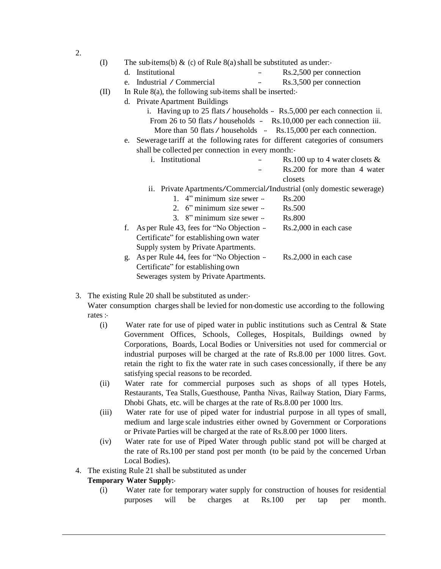| (I)  | The sub-items(b) $\&$ (c) of Rule 8(a) shall be substituted as under. |                                                                                 |  |                                                                  |  |  |  |  |
|------|-----------------------------------------------------------------------|---------------------------------------------------------------------------------|--|------------------------------------------------------------------|--|--|--|--|
|      | d.                                                                    | Institutional                                                                   |  | Rs.2,500 per connection                                          |  |  |  |  |
|      | $e_{-}$                                                               | Industrial / Commercial                                                         |  | Rs.3,500 per connection                                          |  |  |  |  |
| (II) | In Rule $8(a)$ , the following sub-items shall be inserted:           |                                                                                 |  |                                                                  |  |  |  |  |
|      | d. Private Apartment Buildings                                        |                                                                                 |  |                                                                  |  |  |  |  |
|      |                                                                       | i. Having up to 25 flats $\ell$ households - Rs.5,000 per each connection ii.   |  |                                                                  |  |  |  |  |
|      | From 26 to 50 flats / households - Rs.10,000 per each connection iii. |                                                                                 |  |                                                                  |  |  |  |  |
|      |                                                                       |                                                                                 |  | More than 50 flats / households - Rs.15,000 per each connection. |  |  |  |  |
|      |                                                                       | e. Sewerage tariff at the following rates for different categories of consumers |  |                                                                  |  |  |  |  |
|      | shall be collected per connection in every month:-                    |                                                                                 |  |                                                                  |  |  |  |  |
|      |                                                                       | i. Institutional                                                                |  | Rs.100 up to 4 water closets $\&$                                |  |  |  |  |
|      |                                                                       |                                                                                 |  | Rs.200 for more than 4 water                                     |  |  |  |  |
|      |                                                                       |                                                                                 |  | closets                                                          |  |  |  |  |
|      |                                                                       | ii. Private Apartments/Commercial/Industrial (only domestic sewerage)           |  |                                                                  |  |  |  |  |
|      |                                                                       | 1. $4$ " minimum size sewer $-$                                                 |  | Rs.200                                                           |  |  |  |  |
|      |                                                                       | 2. 6" minimum size sewer --                                                     |  | Rs.500                                                           |  |  |  |  |
|      |                                                                       | 3. 8" minimum size sewer --                                                     |  | <b>Rs.800</b>                                                    |  |  |  |  |
|      | f.                                                                    | As per Rule 43, fees for "No Objection -                                        |  | Rs.2,000 in each case                                            |  |  |  |  |
|      |                                                                       | Certificate" for establishing own water                                         |  |                                                                  |  |  |  |  |
|      |                                                                       | Supply system by Private Apartments.                                            |  |                                                                  |  |  |  |  |
|      | g.                                                                    | As per Rule 44, fees for "No Objection -                                        |  | Rs.2,000 in each case                                            |  |  |  |  |
|      |                                                                       | Certificate" for establishing own                                               |  |                                                                  |  |  |  |  |
|      |                                                                       |                                                                                 |  |                                                                  |  |  |  |  |

Sewerages system by Private Apartments.

3. The existing Rule 20 shall be substituted as under:-

Water consumption charges shall be levied for non-domestic use according to the following rates :-

- (i) Water rate for use of piped water in public institutions such as Central & State Government Offices, Schools, Colleges, Hospitals, Buildings owned by Corporations, Boards, Local Bodies or Universities not used for commercial or industrial purposes will be charged at the rate of Rs.8.00 per 1000 litres. Govt. retain the right to fix the water rate in such cases concessionally, if there be any satisfying special reasons to be recorded.
- (ii) Water rate for commercial purposes such as shops of all types Hotels, Restaurants, Tea Stalls, Guesthouse, Pantha Nivas, Railway Station, Diary Farms, Dhobi Ghats, etc. will be charges at the rate of Rs.8.00 per 1000 ltrs.
- (iii) Water rate for use of piped water for industrial purpose in all types of small, medium and large scale industries either owned by Government or Corporations or Private Parties will be charged at the rate of Rs.8.00 per 1000 liters.
- (iv) Water rate for use of Piped Water through public stand pot will be charged at the rate of Rs.100 per stand post per month (to be paid by the concerned Urban Local Bodies).
- 4. The existing Rule 21 shall be substituted as under

## **Temporary Water Supply:-**

(i) Water rate for temporary water supply for construction of houses for residential purposes will be charges at Rs.100 per tap per month.

2.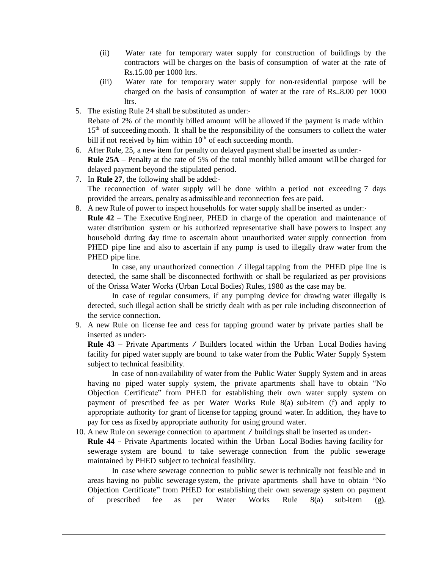- (ii) Water rate for temporary water supply for construction of buildings by the contractors will be charges on the basis of consumption of water at the rate of Rs.15.00 per 1000 ltrs.
- (iii) Water rate for temporary water supply for non-residential purpose will be charged on the basis of consumption of water at the rate of Rs..8.00 per 1000 ltrs.
- 5. The existing Rule 24 shall be substituted as under:- Rebate of 2% of the monthly billed amount will be allowed if the payment is made within 15<sup>th</sup> of succeeding month. It shall be the responsibility of the consumers to collect the water bill if not received by him within  $10<sup>th</sup>$  of each succeeding month.
- 6. After Rule, 25, a new item for penalty on delayed payment shall be inserted as under:- **Rule 25A** – Penalty at the rate of 5% of the total monthly billed amount will be charged for delayed payment beyond the stipulated period.
- 7. In **Rule 27**, the following shall be added:- The reconnection of water supply will be done within a period not exceeding 7 days provided the arrears, penalty as admissible and reconnection fees are paid.
- 8. A new Rule of power to inspect households for water supply shall be inserted as under:- **Rule 42** – The Executive Engineer, PHED in charge of the operation and maintenance of water distribution system or his authorized representative shall have powers to inspect any household during day time to ascertain about unauthorized water supply connection from PHED pipe line and also to ascertain if any pump is used to illegally draw water from the PHED pipe line.

In case, any unauthorized connection / illegal tapping from the PHED pipe line is detected, the same shall be disconnected forthwith or shall be regularized as per provisions of the Orissa Water Works (Urban Local Bodies) Rules, 1980 as the case may be.

In case of regular consumers, if any pumping device for drawing water illegally is detected, such illegal action shall be strictly dealt with as per rule including disconnection of the service connection.

9. A new Rule on license fee and cess for tapping ground water by private parties shall be inserted as under:-

**Rule <sup>43</sup>** – Private Apartments / Builders located within the Urban Local Bodies having facility for piped water supply are bound to take water from the Public Water Supply System subject to technical feasibility.

In case of non-availability of water from the Public Water Supply System and in areas having no piped water supply system, the private apartments shall have to obtain "No Objection Certificate" from PHED for establishing their own water supply system on payment of prescribed fee as per Water Works Rule 8(a) sub-item (f) and apply to appropriate authority for grant of license for tapping ground water. In addition, they have to pay for cess as fixed by appropriate authority for using ground water.

10. <sup>A</sup> new Rule on sewerage connection to apartment / buildings shall be inserted as under:- **Rule 44** -- Private Apartments located within the Urban Local Bodies having facility for sewerage system are bound to take sewerage connection from the public sewerage maintained by PHED subject to technical feasibility.

In case where sewerage connection to public sewer is technically not feasible and in areas having no public sewerage system, the private apartments shall have to obtain "No Objection Certificate" from PHED for establishing their own sewerage system on payment of prescribed fee as per Water Works Rule 8(a) sub-item (g).